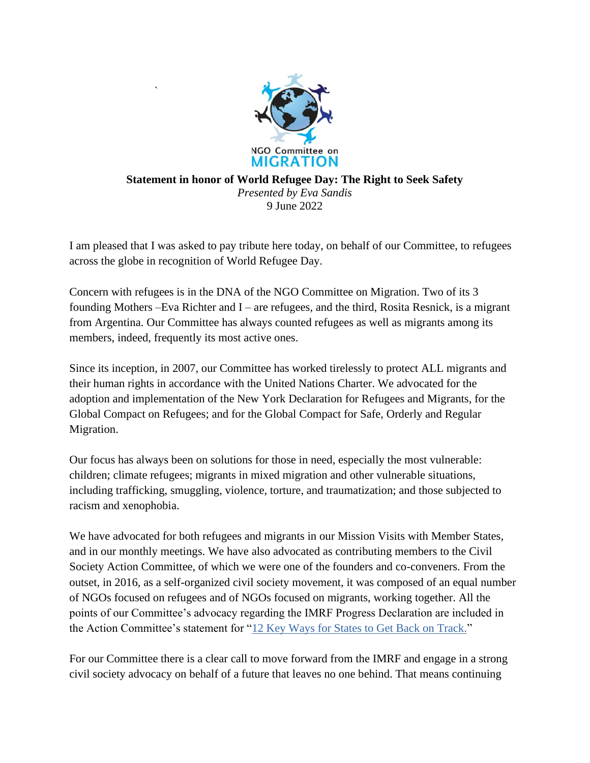

`

## **Statement in honor of World Refugee Day: The Right to Seek Safety** *Presented by Eva Sandis* 9 June 2022

I am pleased that I was asked to pay tribute here today, on behalf of our Committee, to refugees across the globe in recognition of World Refugee Day.

Concern with refugees is in the DNA of the NGO Committee on Migration. Two of its 3 founding Mothers –Eva Richter and I – are refugees, and the third, Rosita Resnick, is a migrant from Argentina. Our Committee has always counted refugees as well as migrants among its members, indeed, frequently its most active ones.

Since its inception, in 2007, our Committee has worked tirelessly to protect ALL migrants and their human rights in accordance with the United Nations Charter. We advocated for the adoption and implementation of the New York Declaration for Refugees and Migrants, for the Global Compact on Refugees; and for the Global Compact for Safe, Orderly and Regular Migration.

Our focus has always been on solutions for those in need, especially the most vulnerable: children; climate refugees; migrants in mixed migration and other vulnerable situations, including trafficking, smuggling, violence, torture, and traumatization; and those subjected to racism and xenophobia.

We have advocated for both refugees and migrants in our Mission Visits with Member States, and in our monthly meetings. We have also advocated as contributing members to the Civil Society Action Committee, of which we were one of the founders and co-conveners. From the outset, in 2016, as a self-organized civil society movement, it was composed of an equal number of NGOs focused on refugees and of NGOs focused on migrants, working together. All the points of our Committee's advocacy regarding the IMRF Progress Declaration are included in the Action Committee's statement for ["12 Key Ways for States to Get Back on Track."](https://csactioncommittee.org/call-for-organizational-sign-ons-join-us-in-endorsing-the-action-committees-position-paper-on-the-imrf/)

For our Committee there is a clear call to move forward from the IMRF and engage in a strong civil society advocacy on behalf of a future that leaves no one behind. That means continuing